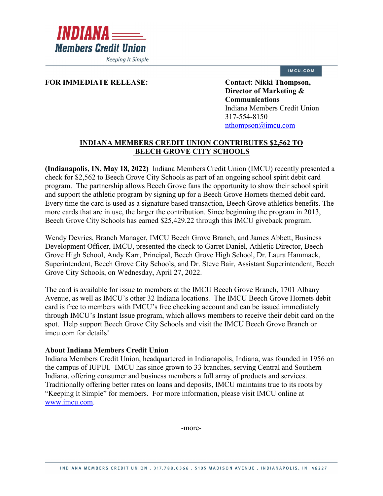

**Keeping It Simple** 

## IMCU.COM

## FOR IMMEDIATE RELEASE: Contact: Nikki Thompson,

**Director of Marketing & Communications** Indiana Members Credit Union 317-554-8150 [nthompson@imcu.com](mailto:nthompson@imcu.com) 

## **INDIANA MEMBERS CREDIT UNION CONTRIBUTES \$2,562 TO BEECH GROVE CITY SCHOOLS**

**(Indianapolis, IN, May 18, 2022)** Indiana Members Credit Union (IMCU) recently presented a check for \$2,562 to Beech Grove City Schools as part of an ongoing school spirit debit card program. The partnership allows Beech Grove fans the opportunity to show their school spirit and support the athletic program by signing up for a Beech Grove Hornets themed debit card. Every time the card is used as a signature based transaction, Beech Grove athletics benefits. The more cards that are in use, the larger the contribution. Since beginning the program in 2013, Beech Grove City Schools has earned \$25,429.22 through this IMCU giveback program.

Wendy Devries, Branch Manager, IMCU Beech Grove Branch, and James Abbett, Business Development Officer, IMCU, presented the check to Garret Daniel, Athletic Director, Beech Grove High School, Andy Karr, Principal, Beech Grove High School, Dr. Laura Hammack, Superintendent, Beech Grove City Schools, and Dr. Steve Bair, Assistant Superintendent, Beech Grove City Schools, on Wednesday, April 27, 2022.

The card is available for issue to members at the IMCU Beech Grove Branch, 1701 Albany Avenue, as well as IMCU's other 32 Indiana locations. The IMCU Beech Grove Hornets debit card is free to members with IMCU's free checking account and can be issued immediately through IMCU's Instant Issue program, which allows members to receive their debit card on the spot. Help support Beech Grove City Schools and visit the IMCU Beech Grove Branch or imcu.com for details!

## **About Indiana Members Credit Union**

Indiana Members Credit Union, headquartered in Indianapolis, Indiana, was founded in 1956 on the campus of IUPUI. IMCU has since grown to 33 branches, serving Central and Southern Indiana, offering consumer and business members a full array of products and services. Traditionally offering better rates on loans and deposits, IMCU maintains true to its roots by "Keeping It Simple" for members. For more information, please visit IMCU online at [www.imcu.com.](http://www.imcu.com/)

-more-